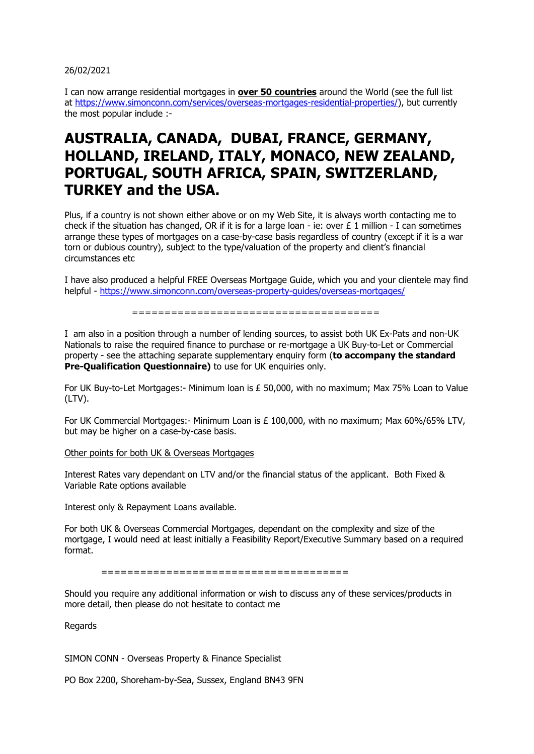## 26/02/2021

I can now arrange residential mortgages in **over 50 countries** around the World (see the full list at [https://www.simonconn.com/services/overseas-mortgages-residential-properties/\)](https://www.simonconn.com/services/overseas-mortgages-residential-properties/), but currently the most popular include :-

## **AUSTRALIA, CANADA, DUBAI, FRANCE, GERMANY, HOLLAND, IRELAND, ITALY, MONACO, NEW ZEALAND, PORTUGAL, SOUTH AFRICA, SPAIN, SWITZERLAND, TURKEY and the USA.**

Plus, if a country is not shown either above or on my Web Site, it is always worth contacting me to check if the situation has changed, OR if it is for a large loan - ie: over  $E$  1 million - I can sometimes arrange these types of mortgages on a case-by-case basis regardless of country (except if it is a war torn or dubious country), subject to the type/valuation of the property and client's financial circumstances etc

I have also produced a helpful FREE Overseas Mortgage Guide, which you and your clientele may find helpful - <https://www.simonconn.com/overseas-property-guides/overseas-mortgages/>

======================================

I am also in a position through a number of lending sources, to assist both UK Ex-Pats and non-UK Nationals to raise the required finance to purchase or re-mortgage a UK Buy-to-Let or Commercial property - see the attaching separate supplementary enquiry form (**to accompany the standard Pre-Qualification Questionnaire)** to use for UK enquiries only.

For UK Buy-to-Let Mortgages:- Minimum loan is £ 50,000, with no maximum; Max 75% Loan to Value (LTV).

For UK Commercial Mortgages: - Minimum Loan is  $E$  100,000, with no maximum; Max 60%/65% LTV, but may be higher on a case-by-case basis.

## Other points for both UK & Overseas Mortgages

Interest Rates vary dependant on LTV and/or the financial status of the applicant. Both Fixed & Variable Rate options available

Interest only & Repayment Loans available.

For both UK & Overseas Commercial Mortgages, dependant on the complexity and size of the mortgage, I would need at least initially a Feasibility Report/Executive Summary based on a required format.

======================================

Should you require any additional information or wish to discuss any of these services/products in more detail, then please do not hesitate to contact me

**Regards** 

SIMON CONN - Overseas Property & Finance Specialist

PO Box 2200, Shoreham-by-Sea, Sussex, England BN43 9FN